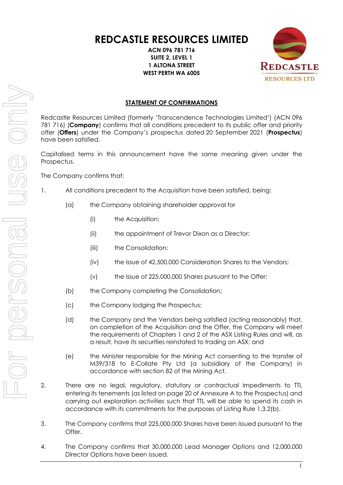# **REDCASTLE RESOURCES LIMITED**

**ACN 096 781 716 SUITE 2, LEVEL 1 1 ALTONA STREET WEST PERTH WA 6005**



# **STATEMENT OF CONFIRMATIONS**

Redcastle Resources Limited (formerly 'Transcendence Technologies Limited') (ACN 096 781 716) (**Company**) confirms that all conditions precedent to its public offer and priority offer (**Offers**) under the Company's prospectus dated 20 September 2021 (**Prospectus**) have been satisfied.

Capitalised terms in this announcement have the same meaning given under the Prospectus.

The Company confirms that:

- 1. All conditions precedent to the Acquisition have been satisfied, being:
	- (a) the Company obtaining shareholder approval for
		- (i) the Acquisition;
		- (ii) the appointment of Trevor Dixon as a Director;
		- (iii) the Consolidation;
		- (iv) the issue of 42,500,000 Consideration Shares to the Vendors;
		- (v) the issue of 225,000,000 Shares pursuant to the Offer;
	- (b) the Company completing the Consolidation;
	- (c) the Company lodging the Prospectus;
	- (d) the Company and the Vendors being satisfied (acting reasonably) that, on completion of the Acquisition and the Offer, the Company will meet the requirements of Chapters 1 and 2 of the ASX Listing Rules and will, as a result, have its securities reinstated to trading on ASX; and
	- (e) the Minister responsible for the Mining Act consenting to the transfer of M39/318 to E-Collate Pty Ltd (a subsidiary of the Company) in accordance with section 82 of the Mining Act.
- 2. There are no legal, regulatory, statutory or contractual impediments to TTL entering its tenements (as listed on page 20 of Annexure A to the Prospectus) and carrying out exploration activities such that TTL will be able to spend its cash in accordance with its commitments for the purposes of Listing Rule 1.3.2(b).
- 3. The Company confirms that 225,000,000 Shares have been issued pursuant to the Offer.
- 4. The Company confirms that 30,000,000 Lead Manager Options and 12,000,000 Director Options have been issued.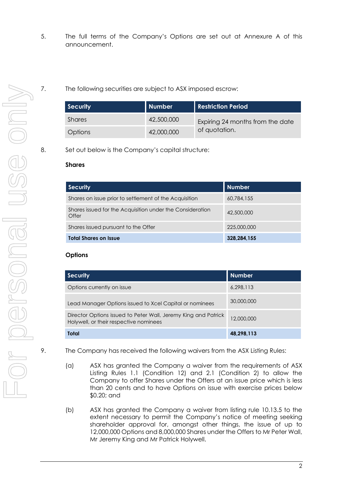- 5. The full terms of the Company's Options are set out at Annexure A of this announcement.
- 7. The following securities are subject to ASX imposed escrow:

| <b>Security</b> | Number     | <b>Restriction Period</b>                         |
|-----------------|------------|---------------------------------------------------|
| Shares          | 42,500,000 | Expiring 24 months from the date<br>of quotation. |
| <b>Options</b>  | 42,000,000 |                                                   |

8. Set out below is the Company's capital structure:

#### **Shares**

| <b>Security</b>                                                    | <b>Number</b> |
|--------------------------------------------------------------------|---------------|
| Shares on issue prior to settlement of the Acquisition             | 60.784.155    |
| Shares issued for the Acquisition under the Consideration<br>Offer | 42,500,000    |
| Shares issued pursuant to the Offer                                | 225,000,000   |
| <b>Total Shares on Issue</b>                                       | 328,284,155   |

#### **Options**

| <b>Security</b>                                                                                          | <b>Number</b> |
|----------------------------------------------------------------------------------------------------------|---------------|
| Options currently on issue                                                                               | 6.298.113     |
| Lead Manager Options issued to Xcel Capital or nominees                                                  | 30,000,000    |
| Director Options issued to Peter Wall, Jeremy King and Patrick<br>Holywell, or their respective nominees | 12,000,000    |
| Total                                                                                                    | 48.298.113    |

- 9. The Company has received the following waivers from the ASX Listing Rules:
	- (a) ASX has granted the Company a waiver from the requirements of ASX Listing Rules 1.1 (Condition 12) and 2.1 (Condition 2) to allow the Company to offer Shares under the Offers at an issue price which is less than 20 cents and to have Options on issue with exercise prices below \$0.20; and
	- (b) ASX has granted the Company a waiver from listing rule 10.13.5 to the extent necessary to permit the Company's notice of meeting seeking shareholder approval for, amongst other things, the issue of up to 12,000,000 Options and 8,000,000 Shares under the Offers to Mr Peter Wall, Mr Jeremy King and Mr Patrick Holywell.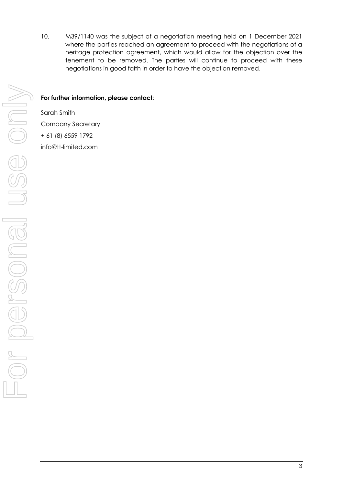10. M39/1140 was the subject of a negotiation meeting held on 1 December 2021 where the parties reached an agreement to proceed with the negotiations of a heritage protection agreement, which would allow for the objection over the tenement to be removed. The parties will continue to proceed with these negotiations in good faith in order to have the objection removed.

#### **For further information, please contact:**

Sarah Smith Company Secretary + 61 (8) 6559 1792 [info@tt-limited.com](mailto:info@tt-limited.com)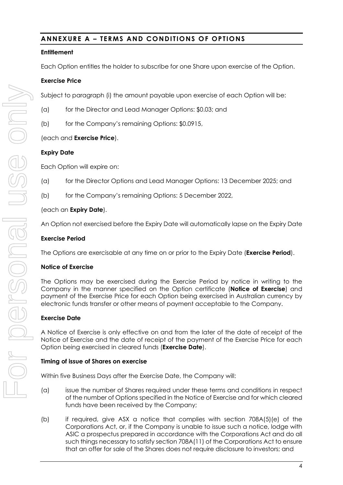## **ANNEXURE A – TERMS AND CONDITIONS OF OPTIONS**

### **Entitlement**

Each Option entitles the holder to subscribe for one Share upon exercise of the Option.

#### **Exercise Price**

Subject to paragraph (i) the amount payable upon exercise of each Option will be:

- (a) for the Director and Lead Manager Options: \$0.03; and
- (b) for the Company's remaining Options: \$0.0915,

#### (each and **Exercise Price**).

#### **Expiry Date**

Each Option will expire on:

- (a) for the Director Options and Lead Manager Options: 13 December 2025; and
- (b) for the Company's remaining Options: 5 December 2022,

#### (each an **Expiry Date**).

An Option not exercised before the Expiry Date will automatically lapse on the Expiry Date

#### **Exercise Period**

The Options are exercisable at any time on or prior to the Expiry Date (**Exercise Period**).

#### **Notice of Exercise**

The Options may be exercised during the Exercise Period by notice in writing to the Company in the manner specified on the Option certificate (**Notice of Exercise**) and payment of the Exercise Price for each Option being exercised in Australian currency by electronic funds transfer or other means of payment acceptable to the Company.

#### **Exercise Date**

A Notice of Exercise is only effective on and from the later of the date of receipt of the Notice of Exercise and the date of receipt of the payment of the Exercise Price for each Option being exercised in cleared funds (**Exercise Date**).

#### **Timing of issue of Shares on exercise**

Within five Business Days after the Exercise Date, the Company will:

- (a) issue the number of Shares required under these terms and conditions in respect of the number of Options specified in the Notice of Exercise and for which cleared funds have been received by the Company;
- (b) if required, give ASX a notice that complies with section 708A(5)(e) of the Corporations Act, or, if the Company is unable to issue such a notice, lodge with ASIC a prospectus prepared in accordance with the Corporations Act and do all such things necessary to satisfy section 708A(11) of the Corporations Act to ensure that an offer for sale of the Shares does not require disclosure to investors; and